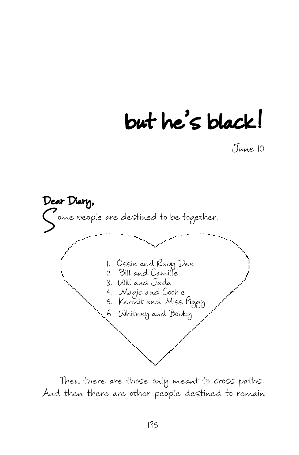## but he's black!

June 10



Then there are those only meant to cross paths. And then there are other people destined to remain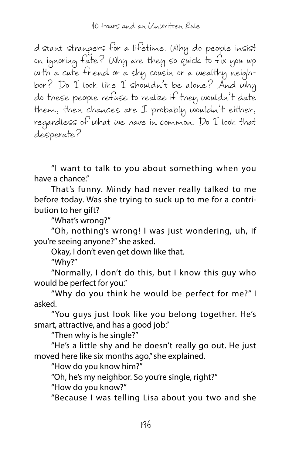distant strangers for a lifetime. Why do people insist on ignoring fate? Why are they so quick to fix you up with a cute friend or a shy cousin or a wealthy neighbor? Do I look like I shouldn't be alone? And why do these people refuse to realize if they wouldn't date them, then chances are I probably wouldn't either, regardless of what we have in common. Do I look that desperate?

"I want to talk to you about something when you have a chance."

That's funny. Mindy had never really talked to me before today. Was she trying to suck up to me for a contribution to her gift?

"What's wrong?"

"Oh, nothing's wrong! I was just wondering, uh, if you're seeing anyone?" she asked.

Okay, I don't even get down like that.

"Why?"

"Normally, I don't do this, but I know this guy who would be perfect for you."

"Why do you think he would be perfect for me?" I asked.

"You guys just look like you belong together. He's smart, attractive, and has a good job."

"Then why is he single?"

"He's a little shy and he doesn't really go out. He just moved here like six months ago," she explained.

"How do you know him?"

"Oh, he's my neighbor. So you're single, right?"

"How do you know?"

"Because I was telling Lisa about you two and she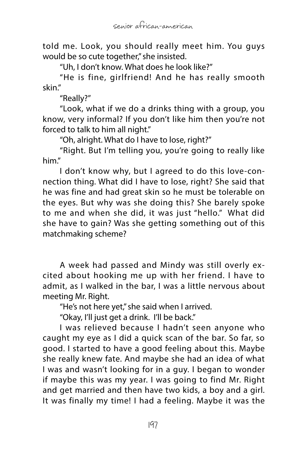told me. Look, you should really meet him. You guys would be so cute together," she insisted.

"Uh, I don't know. What does he look like?"

"He is fine, girlfriend! And he has really smooth skin."

"Really?"

"Look, what if we do a drinks thing with a group, you know, very informal? If you don't like him then you're not forced to talk to him all night."

"Oh, alright. What do I have to lose, right?"

"Right. But I'm telling you, you're going to really like him."

I don't know why, but I agreed to do this love-connection thing. What did I have to lose, right? She said that he was fine and had great skin so he must be tolerable on the eyes. But why was she doing this? She barely spoke to me and when she did, it was just "hello." What did she have to gain? Was she getting something out of this matchmaking scheme?

A week had passed and Mindy was still overly excited about hooking me up with her friend. I have to admit, as I walked in the bar, I was a little nervous about meeting Mr. Right.

"He's not here yet," she said when I arrived.

"Okay, I'll just get a drink. I'll be back."

I was relieved because I hadn't seen anyone who caught my eye as I did a quick scan of the bar. So far, so good. I started to have a good feeling about this. Maybe she really knew fate. And maybe she had an idea of what I was and wasn't looking for in a guy. I began to wonder if maybe this was my year. I was going to find Mr. Right and get married and then have two kids, a boy and a girl. It was finally my time! I had a feeling. Maybe it was the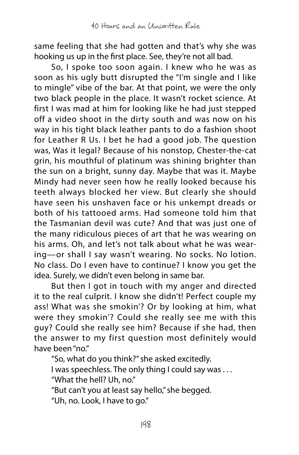same feeling that she had gotten and that's why she was hooking us up in the first place. See, they're not all bad.

So, I spoke too soon again. I knew who he was as soon as his ugly butt disrupted the "I'm single and I like to mingle" vibe of the bar. At that point, we were the only two black people in the place. It wasn't rocket science. At first I was mad at him for looking like he had just stepped off a video shoot in the dirty south and was now on his way in his tight black leather pants to do a fashion shoot for Leather R Us. I bet he had a good job. The question was, Was it legal? Because of his nonstop, Chester-the-cat grin, his mouthful of platinum was shining brighter than the sun on a bright, sunny day. Maybe that was it. Maybe Mindy had never seen how he really looked because his teeth always blocked her view. But clearly she should have seen his unshaven face or his unkempt dreads or both of his tattooed arms. Had someone told him that the Tasmanian devil was cute? And that was just one of the many ridiculous pieces of art that he was wearing on his arms. Oh, and let's not talk about what he was wearing—or shall I say wasn't wearing. No socks. No lotion. No class. Do I even have to continue? I know you get the idea. Surely, we didn't even belong in same bar.

But then I got in touch with my anger and directed it to the real culprit. I know she didn't! Perfect couple my ass! What was she smokin'? Or by looking at him, what were they smokin'? Could she really see me with this guy? Could she really see him? Because if she had, then the answer to my first question most definitely would have been "no."

"So, what do you think?" she asked excitedly.

I was speechless. The only thing I could say was ...

"What the hell? Uh, no."

"But can't you at least say hello," she begged.

"Uh, no. Look, I have to go."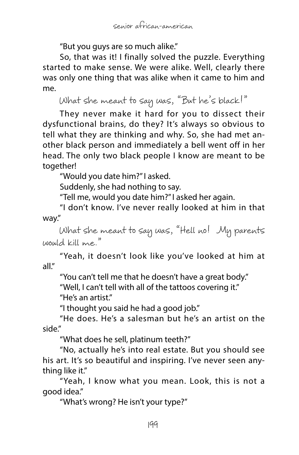"But you guys are so much alike."

So, that was it! I finally solved the puzzle. Everything started to make sense. We were alike. Well, clearly there was only one thing that was alike when it came to him and me.

What she meant to say was, "But he's black!"

They never make it hard for you to dissect their dysfunctional brains, do they? It's always so obvious to tell what they are thinking and why. So, she had met another black person and immediately a bell went off in her head. The only two black people I know are meant to be together!

"Would you date him?" I asked.

Suddenly, she had nothing to say.

"Tell me, would you date him?" I asked her again.

"I don't know. I've never really looked at him in that way."

What she meant to say was, "Hell no! My parents would kill me."

"Yeah, it doesn't look like you've looked at him at all."

"You can't tell me that he doesn't have a great body."

"Well, I can't tell with all of the tattoos covering it."

"He's an artist."

"I thought you said he had a good job."

"He does. He's a salesman but he's an artist on the side."

"What does he sell, platinum teeth?"

"No, actually he's into real estate. But you should see his art. It's so beautiful and inspiring. I've never seen anything like it."

"Yeah, I know what you mean. Look, this is not a good idea."

"What's wrong? He isn't your type?"